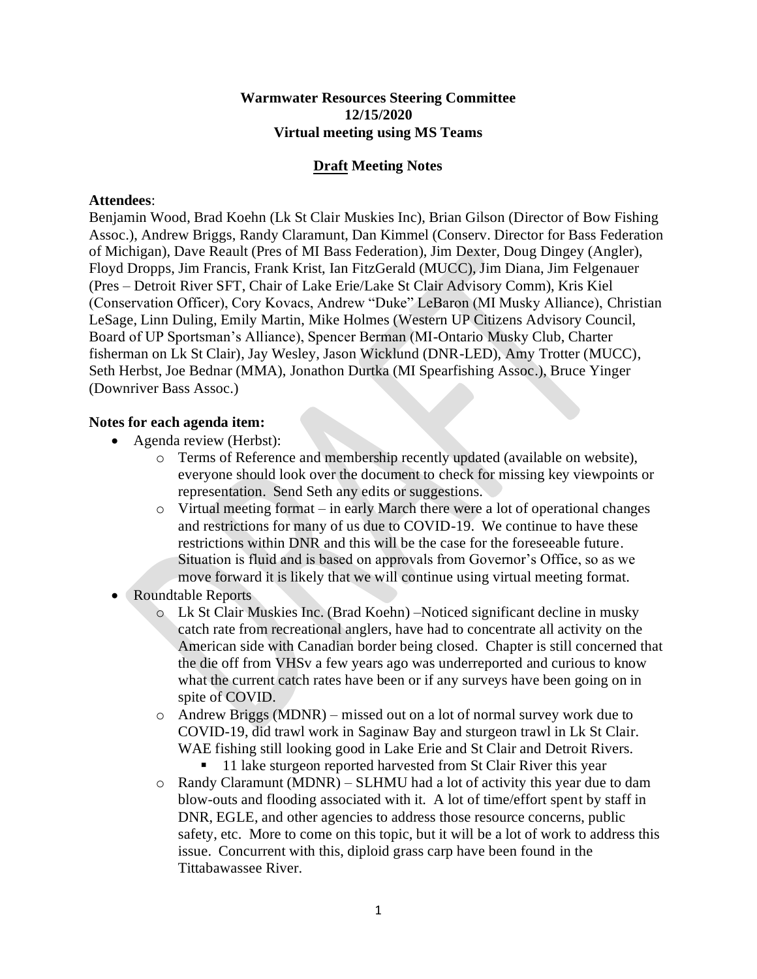## **Warmwater Resources Steering Committee 12/15/2020 Virtual meeting using MS Teams**

## **Draft Meeting Notes**

## **Attendees**:

Benjamin Wood, Brad Koehn (Lk St Clair Muskies Inc), Brian Gilson (Director of Bow Fishing Assoc.), Andrew Briggs, Randy Claramunt, Dan Kimmel (Conserv. Director for Bass Federation of Michigan), Dave Reault (Pres of MI Bass Federation), Jim Dexter, Doug Dingey (Angler), Floyd Dropps, Jim Francis, Frank Krist, Ian FitzGerald (MUCC), Jim Diana, Jim Felgenauer (Pres – Detroit River SFT, Chair of Lake Erie/Lake St Clair Advisory Comm), Kris Kiel (Conservation Officer), Cory Kovacs, Andrew "Duke" LeBaron (MI Musky Alliance), Christian LeSage, Linn Duling, Emily Martin, Mike Holmes (Western UP Citizens Advisory Council, Board of UP Sportsman's Alliance), Spencer Berman (MI-Ontario Musky Club, Charter fisherman on Lk St Clair), Jay Wesley, Jason Wicklund (DNR-LED), Amy Trotter (MUCC), Seth Herbst, Joe Bednar (MMA), Jonathon Durtka (MI Spearfishing Assoc.), Bruce Yinger (Downriver Bass Assoc.)

## **Notes for each agenda item:**

- Agenda review (Herbst):
	- o Terms of Reference and membership recently updated (available on website), everyone should look over the document to check for missing key viewpoints or representation. Send Seth any edits or suggestions.
	- $\circ$  Virtual meeting format in early March there were a lot of operational changes and restrictions for many of us due to COVID-19. We continue to have these restrictions within DNR and this will be the case for the foreseeable future. Situation is fluid and is based on approvals from Governor's Office, so as we move forward it is likely that we will continue using virtual meeting format.
- Roundtable Reports
	- o Lk St Clair Muskies Inc. (Brad Koehn) –Noticed significant decline in musky catch rate from recreational anglers, have had to concentrate all activity on the American side with Canadian border being closed. Chapter is still concerned that the die off from VHSv a few years ago was underreported and curious to know what the current catch rates have been or if any surveys have been going on in spite of COVID.
	- o Andrew Briggs (MDNR) missed out on a lot of normal survey work due to COVID-19, did trawl work in Saginaw Bay and sturgeon trawl in Lk St Clair. WAE fishing still looking good in Lake Erie and St Clair and Detroit Rivers.
		- 11 lake sturgeon reported harvested from St Clair River this year
	- o Randy Claramunt (MDNR) SLHMU had a lot of activity this year due to dam blow-outs and flooding associated with it. A lot of time/effort spent by staff in DNR, EGLE, and other agencies to address those resource concerns, public safety, etc. More to come on this topic, but it will be a lot of work to address this issue. Concurrent with this, diploid grass carp have been found in the Tittabawassee River.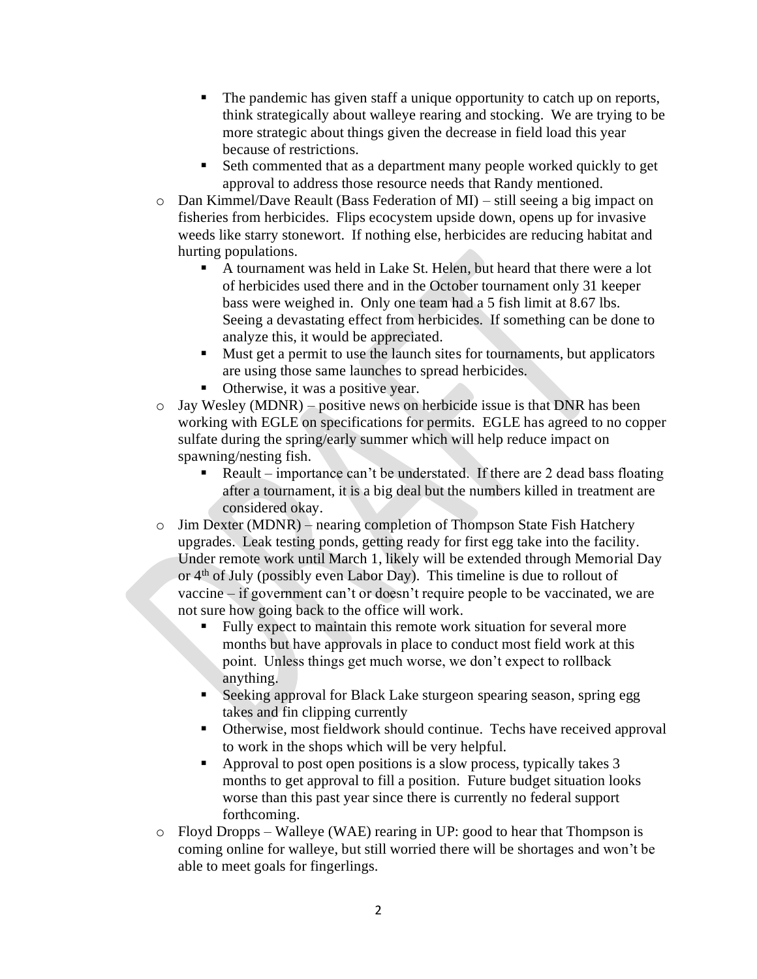- The pandemic has given staff a unique opportunity to catch up on reports, think strategically about walleye rearing and stocking. We are trying to be more strategic about things given the decrease in field load this year because of restrictions.
- Seth commented that as a department many people worked quickly to get approval to address those resource needs that Randy mentioned.
- o Dan Kimmel/Dave Reault (Bass Federation of MI) still seeing a big impact on fisheries from herbicides. Flips ecocystem upside down, opens up for invasive weeds like starry stonewort. If nothing else, herbicides are reducing habitat and hurting populations.
	- A tournament was held in Lake St. Helen, but heard that there were a lot of herbicides used there and in the October tournament only 31 keeper bass were weighed in. Only one team had a 5 fish limit at 8.67 lbs. Seeing a devastating effect from herbicides. If something can be done to analyze this, it would be appreciated.
	- Must get a permit to use the launch sites for tournaments, but applicators are using those same launches to spread herbicides.
	- Otherwise, it was a positive year.
- o Jay Wesley (MDNR) positive news on herbicide issue is that DNR has been working with EGLE on specifications for permits. EGLE has agreed to no copper sulfate during the spring/early summer which will help reduce impact on spawning/nesting fish.
	- Reault importance can't be understated. If there are 2 dead bass floating after a tournament, it is a big deal but the numbers killed in treatment are considered okay.
- o Jim Dexter (MDNR) nearing completion of Thompson State Fish Hatchery upgrades. Leak testing ponds, getting ready for first egg take into the facility. Under remote work until March 1, likely will be extended through Memorial Day or 4th of July (possibly even Labor Day). This timeline is due to rollout of vaccine – if government can't or doesn't require people to be vaccinated, we are not sure how going back to the office will work.
	- Fully expect to maintain this remote work situation for several more months but have approvals in place to conduct most field work at this point. Unless things get much worse, we don't expect to rollback anything.
	- Seeking approval for Black Lake sturgeon spearing season, spring egg takes and fin clipping currently
	- Otherwise, most fieldwork should continue. Techs have received approval to work in the shops which will be very helpful.
	- Approval to post open positions is a slow process, typically takes 3 months to get approval to fill a position. Future budget situation looks worse than this past year since there is currently no federal support forthcoming.
- o Floyd Dropps Walleye (WAE) rearing in UP: good to hear that Thompson is coming online for walleye, but still worried there will be shortages and won't be able to meet goals for fingerlings.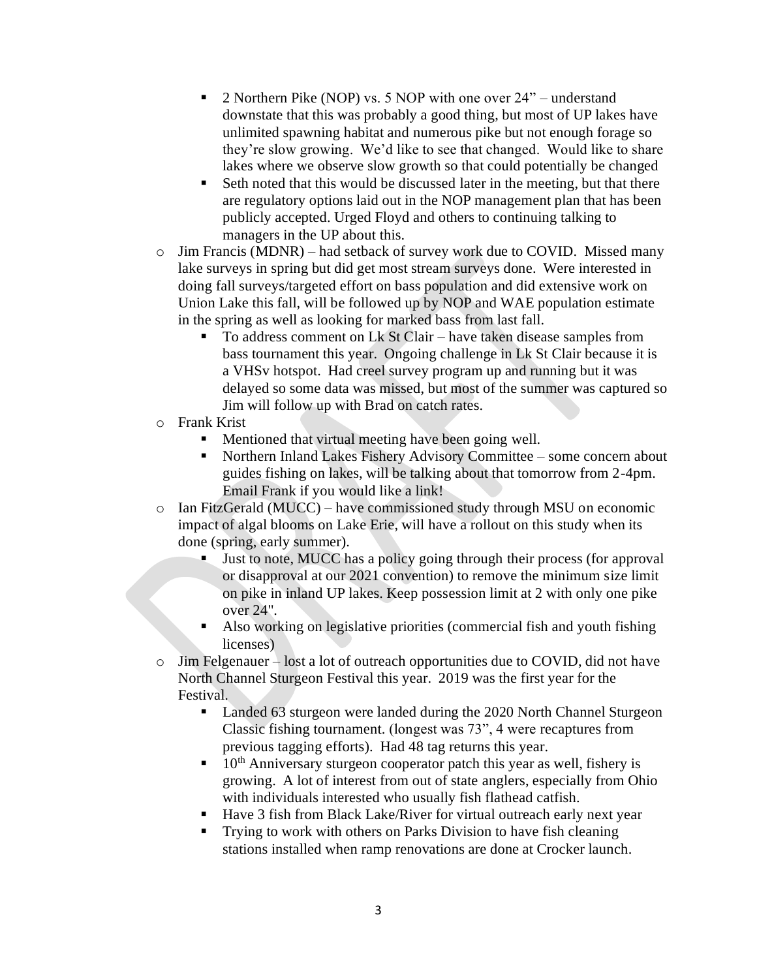- 2 Northern Pike (NOP) vs. 5 NOP with one over 24" understand downstate that this was probably a good thing, but most of UP lakes have unlimited spawning habitat and numerous pike but not enough forage so they're slow growing. We'd like to see that changed. Would like to share lakes where we observe slow growth so that could potentially be changed
- Seth noted that this would be discussed later in the meeting, but that there are regulatory options laid out in the NOP management plan that has been publicly accepted. Urged Floyd and others to continuing talking to managers in the UP about this.
- o Jim Francis (MDNR) had setback of survey work due to COVID. Missed many lake surveys in spring but did get most stream surveys done. Were interested in doing fall surveys/targeted effort on bass population and did extensive work on Union Lake this fall, will be followed up by NOP and WAE population estimate in the spring as well as looking for marked bass from last fall.
	- To address comment on Lk St Clair have taken disease samples from bass tournament this year. Ongoing challenge in Lk St Clair because it is a VHSv hotspot. Had creel survey program up and running but it was delayed so some data was missed, but most of the summer was captured so Jim will follow up with Brad on catch rates.
- o Frank Krist
	- Mentioned that virtual meeting have been going well.
	- Northern Inland Lakes Fishery Advisory Committee some concern about guides fishing on lakes, will be talking about that tomorrow from 2-4pm. Email Frank if you would like a link!
- $\circ$  Ian FitzGerald (MUCC) have commissioned study through MSU on economic impact of algal blooms on Lake Erie, will have a rollout on this study when its done (spring, early summer).
	- Just to note, MUCC has a policy going through their process (for approval or disapproval at our 2021 convention) to remove the minimum size limit on pike in inland UP lakes. Keep possession limit at 2 with only one pike over 24".
	- Also working on legislative priorities (commercial fish and youth fishing licenses)
- o Jim Felgenauer lost a lot of outreach opportunities due to COVID, did not have North Channel Sturgeon Festival this year. 2019 was the first year for the Festival.
	- Landed 63 sturgeon were landed during the 2020 North Channel Sturgeon Classic fishing tournament. (longest was 73", 4 were recaptures from previous tagging efforts). Had 48 tag returns this year.
	- $\blacksquare$  10<sup>th</sup> Anniversary sturgeon cooperator patch this year as well, fishery is growing. A lot of interest from out of state anglers, especially from Ohio with individuals interested who usually fish flathead catfish.
	- Have 3 fish from Black Lake/River for virtual outreach early next year
	- Trying to work with others on Parks Division to have fish cleaning stations installed when ramp renovations are done at Crocker launch.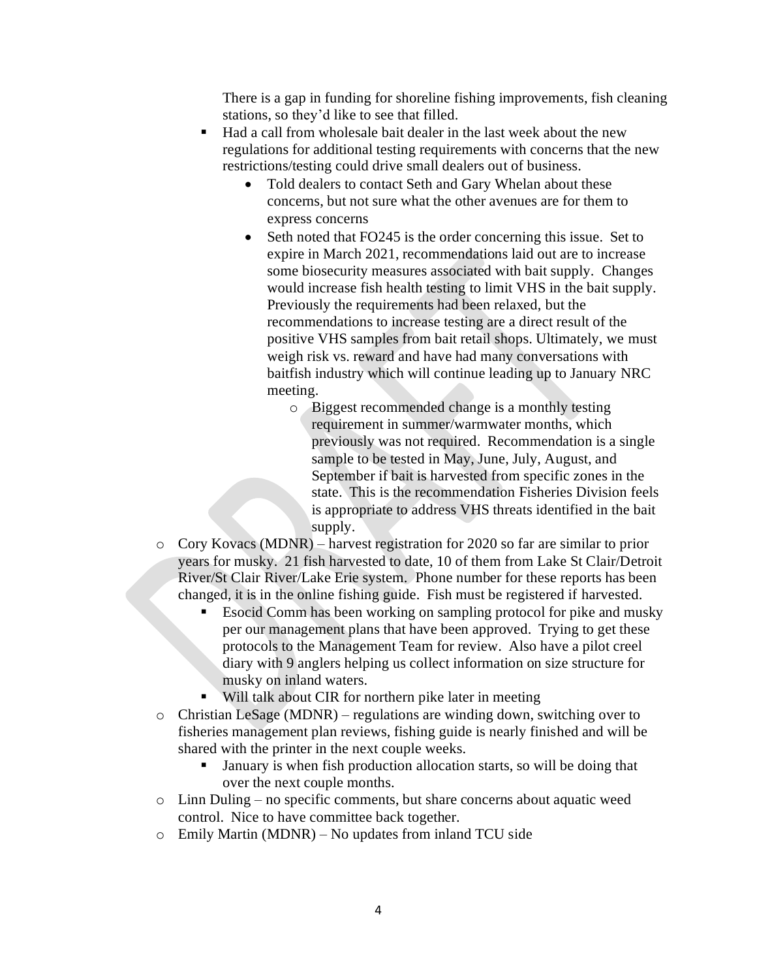There is a gap in funding for shoreline fishing improvements, fish cleaning stations, so they'd like to see that filled.

- Had a call from wholesale bait dealer in the last week about the new regulations for additional testing requirements with concerns that the new restrictions/testing could drive small dealers out of business.
	- Told dealers to contact Seth and Gary Whelan about these concerns, but not sure what the other avenues are for them to express concerns
	- Seth noted that FO245 is the order concerning this issue. Set to expire in March 2021, recommendations laid out are to increase some biosecurity measures associated with bait supply. Changes would increase fish health testing to limit VHS in the bait supply. Previously the requirements had been relaxed, but the recommendations to increase testing are a direct result of the positive VHS samples from bait retail shops. Ultimately, we must weigh risk vs. reward and have had many conversations with baitfish industry which will continue leading up to January NRC meeting.
		- o Biggest recommended change is a monthly testing requirement in summer/warmwater months, which previously was not required. Recommendation is a single sample to be tested in May, June, July, August, and September if bait is harvested from specific zones in the state. This is the recommendation Fisheries Division feels is appropriate to address VHS threats identified in the bait supply.
- o Cory Kovacs (MDNR) harvest registration for 2020 so far are similar to prior years for musky. 21 fish harvested to date, 10 of them from Lake St Clair/Detroit River/St Clair River/Lake Erie system. Phone number for these reports has been changed, it is in the online fishing guide. Fish must be registered if harvested.
	- Esocid Comm has been working on sampling protocol for pike and musky per our management plans that have been approved. Trying to get these protocols to the Management Team for review. Also have a pilot creel diary with 9 anglers helping us collect information on size structure for musky on inland waters.
	- Will talk about CIR for northern pike later in meeting
- o Christian LeSage (MDNR) regulations are winding down, switching over to fisheries management plan reviews, fishing guide is nearly finished and will be shared with the printer in the next couple weeks.
	- January is when fish production allocation starts, so will be doing that over the next couple months.
- o Linn Duling no specific comments, but share concerns about aquatic weed control. Nice to have committee back together.
- o Emily Martin (MDNR) No updates from inland TCU side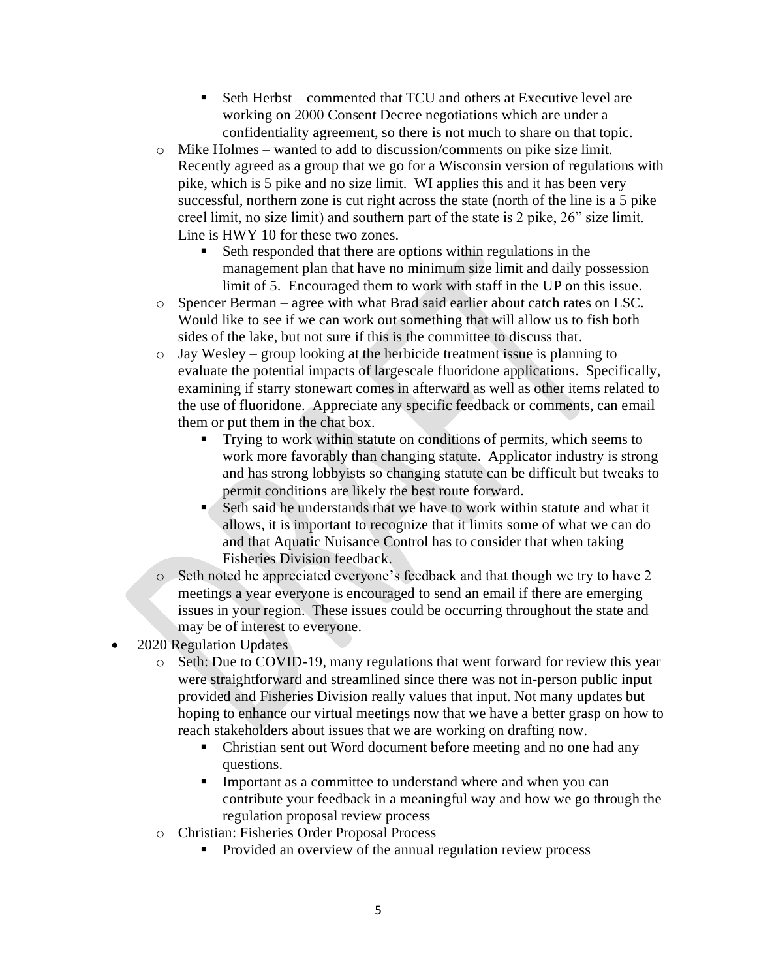- Seth Herbst commented that TCU and others at Executive level are working on 2000 Consent Decree negotiations which are under a confidentiality agreement, so there is not much to share on that topic.
- o Mike Holmes wanted to add to discussion/comments on pike size limit. Recently agreed as a group that we go for a Wisconsin version of regulations with pike, which is 5 pike and no size limit. WI applies this and it has been very successful, northern zone is cut right across the state (north of the line is a 5 pike creel limit, no size limit) and southern part of the state is 2 pike, 26" size limit. Line is HWY 10 for these two zones.
	- Seth responded that there are options within regulations in the management plan that have no minimum size limit and daily possession limit of 5. Encouraged them to work with staff in the UP on this issue.
- o Spencer Berman agree with what Brad said earlier about catch rates on LSC. Would like to see if we can work out something that will allow us to fish both sides of the lake, but not sure if this is the committee to discuss that.
- o Jay Wesley group looking at the herbicide treatment issue is planning to evaluate the potential impacts of largescale fluoridone applications. Specifically, examining if starry stonewart comes in afterward as well as other items related to the use of fluoridone. Appreciate any specific feedback or comments, can email them or put them in the chat box.
	- Trying to work within statute on conditions of permits, which seems to work more favorably than changing statute. Applicator industry is strong and has strong lobbyists so changing statute can be difficult but tweaks to permit conditions are likely the best route forward.
	- Seth said he understands that we have to work within statute and what it allows, it is important to recognize that it limits some of what we can do and that Aquatic Nuisance Control has to consider that when taking Fisheries Division feedback.
- o Seth noted he appreciated everyone's feedback and that though we try to have 2 meetings a year everyone is encouraged to send an email if there are emerging issues in your region. These issues could be occurring throughout the state and may be of interest to everyone.
- 2020 Regulation Updates
	- o Seth: Due to COVID-19, many regulations that went forward for review this year were straightforward and streamlined since there was not in-person public input provided and Fisheries Division really values that input. Not many updates but hoping to enhance our virtual meetings now that we have a better grasp on how to reach stakeholders about issues that we are working on drafting now.
		- Christian sent out Word document before meeting and no one had any questions.
		- Important as a committee to understand where and when you can contribute your feedback in a meaningful way and how we go through the regulation proposal review process
	- o Christian: Fisheries Order Proposal Process
		- **•** Provided an overview of the annual regulation review process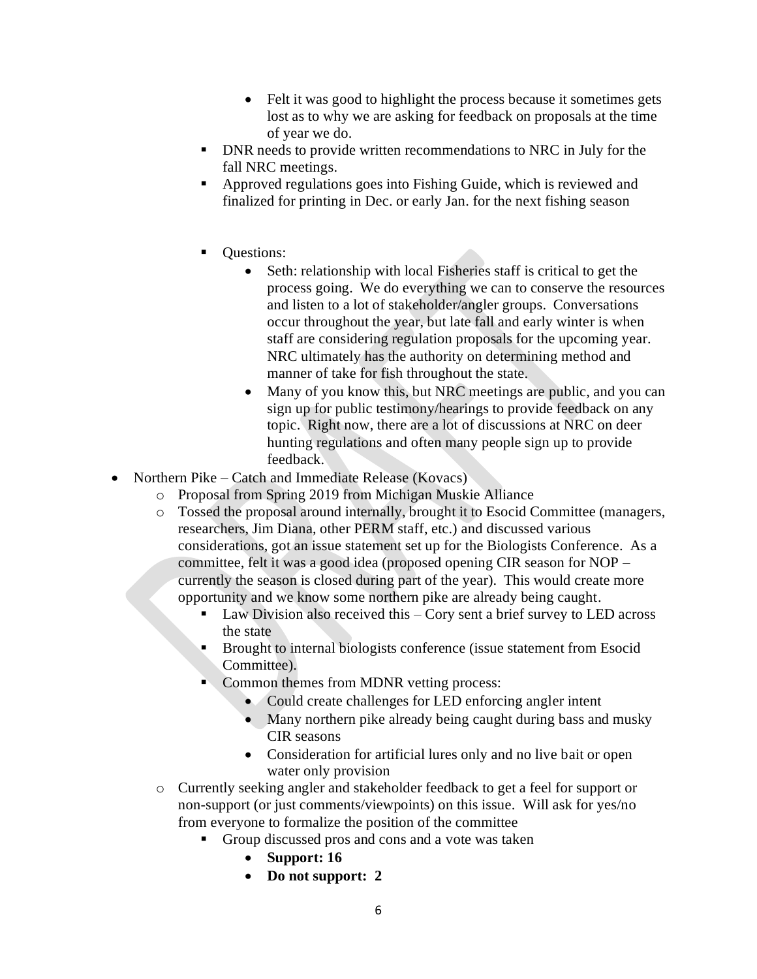- Felt it was good to highlight the process because it sometimes gets lost as to why we are asking for feedback on proposals at the time of year we do.
- **DNR needs to provide written recommendations to NRC in July for the** fall NRC meetings.
- Approved regulations goes into Fishing Guide, which is reviewed and finalized for printing in Dec. or early Jan. for the next fishing season
- Ouestions:
	- Seth: relationship with local Fisheries staff is critical to get the process going. We do everything we can to conserve the resources and listen to a lot of stakeholder/angler groups. Conversations occur throughout the year, but late fall and early winter is when staff are considering regulation proposals for the upcoming year. NRC ultimately has the authority on determining method and manner of take for fish throughout the state.
	- Many of you know this, but NRC meetings are public, and you can sign up for public testimony/hearings to provide feedback on any topic. Right now, there are a lot of discussions at NRC on deer hunting regulations and often many people sign up to provide feedback.
- Northern Pike Catch and Immediate Release (Kovacs)
	- o Proposal from Spring 2019 from Michigan Muskie Alliance
	- o Tossed the proposal around internally, brought it to Esocid Committee (managers, researchers, Jim Diana, other PERM staff, etc.) and discussed various considerations, got an issue statement set up for the Biologists Conference. As a committee, felt it was a good idea (proposed opening CIR season for NOP – currently the season is closed during part of the year). This would create more opportunity and we know some northern pike are already being caught.
		- Law Division also received this  $-$  Cory sent a brief survey to LED across the state
		- Brought to internal biologists conference (issue statement from Esocid Committee).
		- Common themes from MDNR vetting process:
			- Could create challenges for LED enforcing angler intent
			- Many northern pike already being caught during bass and musky CIR seasons
			- Consideration for artificial lures only and no live bait or open water only provision
	- o Currently seeking angler and stakeholder feedback to get a feel for support or non-support (or just comments/viewpoints) on this issue. Will ask for yes/no from everyone to formalize the position of the committee
		- Group discussed pros and cons and a vote was taken
			- **Support: 16**
			- **Do not support: 2**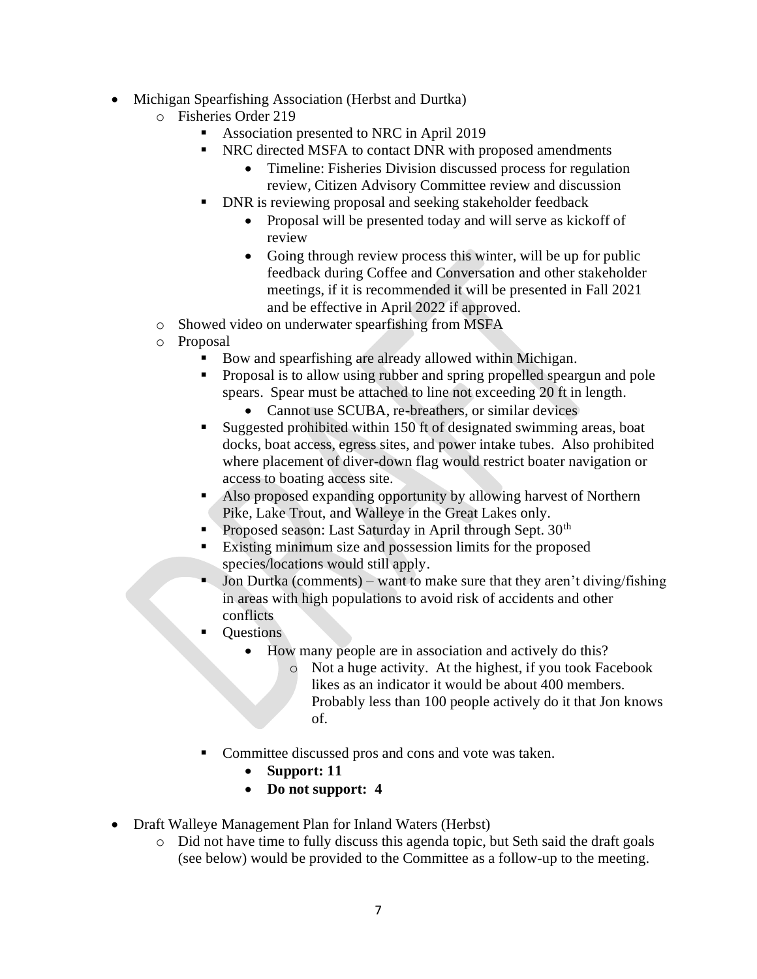- Michigan Spearfishing Association (Herbst and Durtka)
	- o Fisheries Order 219
		- Association presented to NRC in April 2019
		- NRC directed MSFA to contact DNR with proposed amendments
			- Timeline: Fisheries Division discussed process for regulation review, Citizen Advisory Committee review and discussion
		- DNR is reviewing proposal and seeking stakeholder feedback
			- Proposal will be presented today and will serve as kickoff of review
			- Going through review process this winter, will be up for public feedback during Coffee and Conversation and other stakeholder meetings, if it is recommended it will be presented in Fall 2021 and be effective in April 2022 if approved.
	- o Showed video on underwater spearfishing from MSFA
	- o Proposal
		- Bow and spearfishing are already allowed within Michigan.
		- Proposal is to allow using rubber and spring propelled speargun and pole spears. Spear must be attached to line not exceeding 20 ft in length.
			- Cannot use SCUBA, re-breathers, or similar devices
		- Suggested prohibited within 150 ft of designated swimming areas, boat docks, boat access, egress sites, and power intake tubes. Also prohibited where placement of diver-down flag would restrict boater navigation or access to boating access site.
		- Also proposed expanding opportunity by allowing harvest of Northern Pike, Lake Trout, and Walleye in the Great Lakes only.
		- **•** Proposed season: Last Saturday in April through Sept. 30<sup>th</sup>
		- Existing minimum size and possession limits for the proposed species/locations would still apply.
		- Jon Durtka (comments) want to make sure that they aren't diving/fishing in areas with high populations to avoid risk of accidents and other conflicts
		- **Questions** 
			- How many people are in association and actively do this?
				- o Not a huge activity. At the highest, if you took Facebook likes as an indicator it would be about 400 members. Probably less than 100 people actively do it that Jon knows of.
		- Committee discussed pros and cons and vote was taken.
			- **Support: 11**
			- **Do not support: 4**
- Draft Walleye Management Plan for Inland Waters (Herbst)
	- o Did not have time to fully discuss this agenda topic, but Seth said the draft goals (see below) would be provided to the Committee as a follow-up to the meeting.